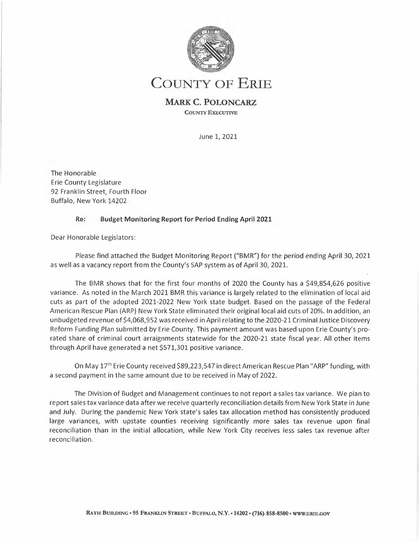

# **COUNTY OF ERIE**

## **MARK C. POLONCARZ**

**COUNTY EXECUTIVE** 

June 1, 2021

The Honorable Erie County Legislature 92 Franklin Street, Fourth Floor Buffalo, New York 14202

### **Re: Budget Monitoring Report for Period Ending April 2021**

Dear Honorable Legislators:

Please find attached the Budget Monitoring Report ("BMR") for the period ending April 30, 2021 as well as a vacancy report from the County's SAP system as of April 30, 2021.

The BMR shows that for the first four months of 2020 the County has a \$49,854,626 positive variance. As noted in the March 2021 BMR this variance is largely related to the elimination of local aid cuts as part of the adopted 2021-2022 New York state budget. Based on the passage of the Federal American Rescue Plan (ARP) New York State eliminated their original local aid cuts of 20%. In addition, an un budgeted revenue of \$4,068,952 was received in April relating to the 2020-21 Criminal Justice Discovery Reform Funding Plan submitted by Erie County. This payment amount was based upon Erie County's prorated share of criminal court arraignments statewide for the 2020-21 state fiscal year. All other items through April have generated a net \$571,301 positive variance.

On May 17th Erie County received \$89,223,547 in direct American Rescue Plan "ARP" funding, with a second payment in the same amount due to be received in May of 2022.

The Division of Budget and Management continues to not report a sales tax variance. We plan to report sales tax variance data after we receive quarterly reconciliation details from New York State in June and July. During the pandemic New York state's sales tax allocation method has consistently produced large variances, with upstate counties receiving significantly more sales tax revenue upon final reconciliation than in the initial allocation, while New York City receives less sales tax revenue after reconciliation.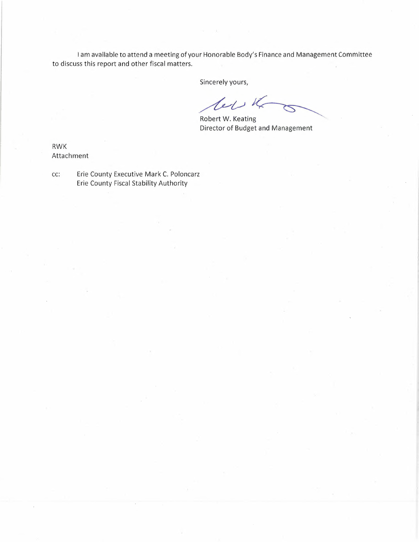I am available to attend a meeting of your Honorable Body's Finance and Management Committee to discuss this report and other fiscal matters. SP Finance and Management Committee<br> **19**<br> **19**<br> **19**<br> **19**<br> **19**<br> **19**<br> **19**<br> **19**<br> **19**<br> **19**<br> **19**<br> **19**<br> **19**<br> **19**<br> **19**<br> **19**<br> **19**<br> **19**<br> **19**<br> **19**<br> **19**<br> **19**<br> **19**<br> **19**<br> **19**<br> **19**<br> **19**<br> **19**<br> **19**<br> **19**<br> **19**<br>

Sincerely yours,

Sincerely y  $\mathcal{U}$ 

Robert W. Keatin  $\mathbf g$ Director of Budget and Management

RWK Attachment

cc: Erie County Executive Mark C. Poloncarz Erie County Fiscal Stability Authority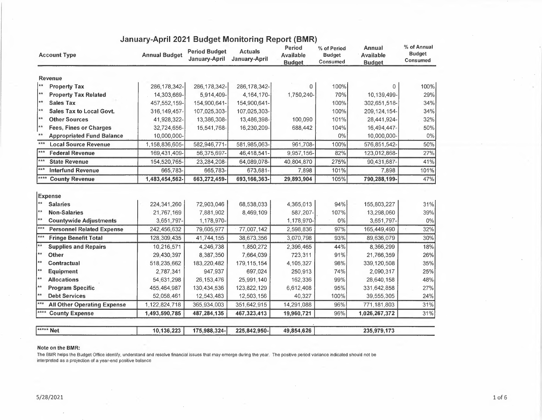| <b>Account Type</b>                               | <b>Annual Budget</b> | <b>Period Budget</b><br>January-April | <b>Actuals</b><br>January-April | Period<br><b>Available</b><br><b>Budget</b> | % of Period<br><b>Budget</b><br>Consumed | <b>Annual</b><br><b>Available</b><br><b>Budget</b> | % of Annual<br><b>Budget</b><br>Consumed |
|---------------------------------------------------|----------------------|---------------------------------------|---------------------------------|---------------------------------------------|------------------------------------------|----------------------------------------------------|------------------------------------------|
| Revenue                                           |                      |                                       |                                 |                                             |                                          |                                                    |                                          |
| $**$<br><b>Property Tax</b>                       | 286, 178, 342-       | 286, 178, 342-                        | 286, 178, 342-                  | 0                                           | 100%                                     | O.                                                 | 100%                                     |
| $**$<br><b>Property Tax Related</b>               | 14,303,669-          | 5,914,409-                            | 4, 164, 170-                    | 1,750,240-                                  | 70%                                      | 10,139,499-                                        | 29%                                      |
| $**$<br><b>Sales Tax</b>                          | 457,552,159-         | 154,900,641-                          | 154,900,641-                    |                                             | 100%                                     | 302,651,518-                                       | 34%                                      |
| **<br>Sales Tax to Local Govt.                    | 316, 149, 457-       | 107,025,303-                          | 107,025,303-                    |                                             | 100%                                     | 209, 124, 154-                                     | 34%                                      |
| ∦**<br><b>Other Sources</b>                       | 41,928,322-          | 13,386,308-                           | 13,486,398-                     | 100,090                                     | 101%                                     | 28,441,924-                                        | 32%                                      |
| **<br><b>Fees, Fines or Charges</b>               | 32,724,656-          | 15,541,768-                           | 16,230,209-                     | 688,442                                     | 104%                                     | 16,494,447-                                        | 50%                                      |
| **<br><b>Appropriated Fund Balance</b>            | 10,000,000-          |                                       |                                 |                                             | 0%                                       | 10,000,000-                                        | 0%                                       |
| $***$<br><b>Local Source Revenue</b>              | 1,158,836,605-       | 582,946,771-                          | 581,985,063-                    | 961,708-                                    | 100%                                     | 576,851,542-                                       | 50%                                      |
| ***<br><b>Federal Revenue</b>                     | 169,431,409-         | 56,375,697-                           | 46,418,541-                     | 9,957,156-                                  | 82%                                      | 123,012,868-                                       | 27%                                      |
| $***$<br><b>State Revenue</b>                     | 154,520,765-         | 23,284,208-                           | 64,089,078-                     | 40,804,870                                  | 275%                                     | 90,431,687-                                        | 41%                                      |
| $***$<br><b>Interfund Revenue</b>                 | 665,783-             | 665,783-                              | 673,681-                        | 7,898                                       | 101%                                     | 7,898                                              | 101%                                     |
| ****<br><b>County Revenue</b>                     | 1,483,454,562-       | 663,272,459-                          | 693, 166, 363-                  | 29,893,904                                  | 105%                                     | 790,288,199-                                       | 47%                                      |
| <b>Expense</b><br>$\star\star$<br><b>Salaries</b> | 224,341,260          | 72,903,046                            | 68,538,033                      | 4,365,013                                   | 94%                                      | 155,803,227                                        | 31%                                      |
| $\star\star$<br><b>Non-Salaries</b>               | 21,767,169           | 7,881,902                             | 8,469,109                       | 587,207-                                    | 107%                                     | 13,298,060                                         | 39%                                      |
| $**$<br><b>Countywide Adjustments</b>             | 3,651,797-           | 1,178,970-                            |                                 | 1,178,970-                                  | $0\%$                                    | 3,651,797-                                         | $0\%$                                    |
| ***<br><b>Personnel Related Expense</b>           | 242,456,632          | 79,605,977                            | 77,007,142                      | 2,598,836                                   | 97%                                      | 165,449,490                                        | 32%                                      |
| $***$<br><b>Fringe Benefit Total</b>              | 128,309,435          | 41,744,155                            | 38,673,356                      | 3,070,798                                   | 93%                                      | 89,636,079                                         | 30%                                      |
| $\overline{**}$<br><b>Supplies and Repairs</b>    | 10,216,571           | 4,246,738                             | 1,850,272                       | 2,396,465                                   | 44%                                      | 8,366,299                                          | 18%                                      |
| $**$<br>Other                                     | 29,430,397           | 8,387,350                             | 7,664,039                       | 723,311                                     | 91%                                      | 21,766,359                                         | 26%                                      |
| $**$<br>Contractual                               | 518,235,662          | 183,220,482                           | 179, 115, 154                   | 4,105,327                                   | 98%                                      | 339,120,508                                        | 35%                                      |
|                                                   |                      |                                       |                                 |                                             |                                          |                                                    |                                          |
| $**$<br><b>Equipment</b>                          | 2,787,341            | 947,937                               | 697,024                         | 250,913                                     | 74%                                      | 2,090,317                                          | 25%                                      |
| <b>Allocations</b>                                | 54,631,298           | 26, 153, 476                          | 25,991,140                      | 162,336                                     | 99%                                      | 28,640,158                                         | 48%                                      |
| **<br> **<br><b>Program Specific</b>              | 455,464,987          | 130,434,536                           | 123,822,129                     | 6,612,408                                   | 95%                                      | 331,642,858                                        | 27%                                      |
| **<br><b>Debt Services</b>                        | 52,058,461           | 12,543,483                            | 12,503,156                      | 40,327                                      | 100%                                     | 39,555,305                                         | 24%                                      |
| $***$<br><b>All Other Operating Expense</b>       | 1,122,824,718        | 365,934,003                           | 351,642,915                     | 14,291,088                                  | 96%                                      | 771,181,803                                        | 31%                                      |

## **January-April 2021 Budget Monitoring Report (BMR)**

| ***** Net | 0.02<br>.136,223<br>10. | 175,988,324-1<br>. | 225.842.950- | 49.854.626 | 070 172<br>235<br>7. I 7 J |  |
|-----------|-------------------------|--------------------|--------------|------------|----------------------------|--|
|-----------|-------------------------|--------------------|--------------|------------|----------------------------|--|

#### **Note on the BMR:**

The BMR helps the Budget Office identify, understand and resolve financial issues that may emerge during the year. The positive period variance indicated should not be interpreted as a projection of a year-end positive balance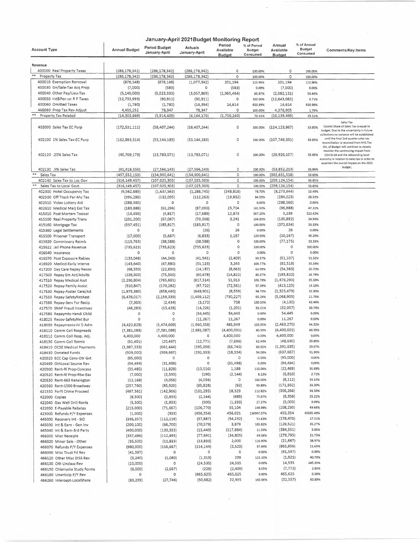|                                                           | January-April 2021Budget Monitoring Report |                                       |                           |                                      |                                          |                                      |                                          |                                                                                                                                                                    |
|-----------------------------------------------------------|--------------------------------------------|---------------------------------------|---------------------------|--------------------------------------|------------------------------------------|--------------------------------------|------------------------------------------|--------------------------------------------------------------------------------------------------------------------------------------------------------------------|
| <b>Account Type</b>                                       | <b>Annual Budget</b>                       | <b>Period Budget</b><br>January-April | Actuals<br>January-April  | Period<br>Available<br><b>Budget</b> | % of Period<br><b>Budget</b><br>Consumed | Annual<br>Available<br><b>Budget</b> | % of Annual<br><b>Budget</b><br>Consumed | <b>Comments/Key Items</b>                                                                                                                                          |
| Revenue                                                   |                                            |                                       |                           |                                      |                                          |                                      |                                          |                                                                                                                                                                    |
| 400000 Real Property Taxes                                | (286, 178, 342)                            | (286, 178, 342)                       | (286, 178, 342)           | $\circ$                              | 100.00%                                  | 0                                    | 100.00%                                  |                                                                                                                                                                    |
| Property Tax                                              | (286,178,342)                              | (286, 178, 342)                       | (286,178,342)             | 0                                    | 100.00%                                  | 0                                    | 100.00%                                  |                                                                                                                                                                    |
| 400010 Exemption Removal                                  | (876, 148)                                 | (876, 148)                            | (1,077,342)               | 201,194                              | 122.96%                                  | 201,194                              | 122.96%                                  |                                                                                                                                                                    |
| 400030 Gn/Sale-Tax Acq Prop                               | (7,000)                                    | (583)                                 | 0                         | (583)                                | 0.00%                                    | (7,000)                              | 0.00%                                    |                                                                                                                                                                    |
| 400040 Other Pay/Lieu-Tax                                 | (5, 140, 000)                              | (5,023,333)                           | (3,057,869)               | (1,965,464)                          | 60.87%                                   | (2,082,131)                          | 59.49%                                   |                                                                                                                                                                    |
| 400050 Int&Pen on R P Taxes                               | (12, 733, 993)                             | (90, 911)                             | (90, 911)                 | 0                                    | 100.00%                                  | (12, 643, 082)                       | 0.71%                                    |                                                                                                                                                                    |
| 400060 Omitted Taxes                                      | (1,780)                                    | (1,780)                               | (16, 394)                 | 14,614                               | 920.99%                                  | 14,614                               | 920.99%                                  |                                                                                                                                                                    |
| 466060 Prop Tax Rev Adjust                                | 4,455,252                                  | 78,347                                | 78,347                    | 0                                    | 100.00%                                  | 4,376,905                            | 1.76%                                    |                                                                                                                                                                    |
| Property Tax Related                                      | (14, 303, 669)                             | (5,914,409)                           | (4, 164, 170)             | (1,750,240)                          | 70.41%                                   | (10, 139, 499)                       | 29.11%                                   |                                                                                                                                                                    |
| 402000 Sales Tax EC Purp                                  | (172, 531, 111)                            | (58, 407, 244)                        | (58, 407, 244)            | $\mathbf O$                          | 100.00%                                  | (114, 123, 867)                      | 33.85%                                   | Sales Tax<br>County Share of Sales Tax is equal to<br>budget. Due to the uncertainty in future                                                                     |
| 402100 1% Sales Tax-EC Purp                               | (162,893,514)                              | (55, 144, 183)                        | (55, 144, 183)            | $\circ$                              | 100.00%                                  | (107, 749, 331)                      | 33.85%                                   | collections no variance will be established<br>until the final 2nd quarter sales tax<br>reconciliation is received from NYS.The                                    |
| 402120 .25% Sales Tax                                     | (40, 709, 178)                             | (13,783,071)                          | (13, 783, 071)            | 0                                    | 100.00%                                  | (26,926,107)                         | 33.86%                                   | Div. of Budget will continue to closely<br>monitor the continuimg impact from<br>COVID-19 and the rebounding local<br>economy in relation to sales tax in order to |
| 402130 .5% Sales Tax                                      | (81, 418, 356)                             | (27, 566, 143)                        | (27, 566, 143)            | 0                                    | 100.00%                                  | (53,852,213)                         | 33.86%                                   | ascertain the overall impact on the 2021<br>budget,                                                                                                                |
| Sales Tax                                                 | (457, 552, 159)                            | (154, 900, 641)                       | (154, 900, 641)           | $\mathsf{O}\xspace$                  | 100.00%                                  | (302, 651, 518)                      | 33.85%                                   |                                                                                                                                                                    |
| 402140 Sales Tax to Loc Gov                               | (316, 149, 457)                            | (107, 025, 303)                       | (107, 025, 303)           | 0                                    | 100.00%                                  | (209, 124, 154)                      | 33.85%                                   |                                                                                                                                                                    |
| Sales Tax to Local Govt.                                  | (316,149,457)                              | (107, 025, 303)                       | (107, 025, 303)           | 0                                    | 100.00%                                  | (209, 124, 154)                      | 33.85%                                   |                                                                                                                                                                    |
| 402300 Hotel Occupancy Tax                                | (9,562,689)                                | (1,637,563)                           | (1, 288, 745)             | (348, 818)                           | 78.70%                                   | (8, 273, 944)                        | 13.48%                                   |                                                                                                                                                                    |
| 402500 Off Track Par-Mu Tax                               | (396, 286)                                 | (132,095)                             | (112, 263)                | (19, 832)                            | 84.99%                                   | (284, 023)                           | 28.33%                                   |                                                                                                                                                                    |
| 402510 Video Lottery Aid                                  | (288, 560)                                 | 0                                     | 0                         | 0                                    | 0.00%                                    | (288, 560)                           | 0.00%                                    |                                                                                                                                                                    |
| 402610 Medical Marj Exc Tax                               | (183, 888)                                 | (61, 296)                             | (87,000)                  | 25,704                               | 141.93%                                  | (96, 888)                            | 47.31%                                   |                                                                                                                                                                    |
| 415010 Post Mortem Toxicol                                | (14, 450)                                  | (4,817)                               | (17, 689)                 | 12,873                               | 367.25%                                  | 3,239                                | 122.42%                                  |                                                                                                                                                                    |
| 415100 Real Property Trans                                | (201, 200)                                 | (67,067)                              | (70, 308)                 | 3,241                                | 104.83%                                  | (130, 892)                           | 34.94%                                   |                                                                                                                                                                    |
| 415160 Mortgage Tax                                       | (557, 451)                                 | (185, 817)                            | (185, 817)                | 0                                    | 100.00%                                  | (371, 634)                           | 33.33%                                   |                                                                                                                                                                    |
| 415360 Legal Settlements                                  | 0                                          | 0                                     | (26)                      | 26                                   | 0.00%                                    | 26                                   | 0.00%                                    |                                                                                                                                                                    |
| 415500 Prisoner Transport                                 | (17,000)                                   | (5,667)                               | (6,833)                   | 1,167                                | 120.59%                                  | (10, 167)                            | 40.20%                                   |                                                                                                                                                                    |
| 415620 Commissary Reimb                                   | (115, 763)                                 | (38, 588)                             | (38, 588)                 | 0                                    | 100.00%                                  | (77, 175)                            | 33.33%                                   |                                                                                                                                                                    |
| 415622 Jail Phone Revenue                                 | (735, 623)                                 | (735, 623)                            | (735, 623)                | $\Omega$                             | 100.00%                                  | 0                                    | 100.00%                                  |                                                                                                                                                                    |
| 416540 Insurance                                          | O                                          | O                                     | o                         | 0                                    | 0.00%                                    | 0                                    | 0.00%                                    |                                                                                                                                                                    |
| 416570 Post Exposure Rabies                               | (133,048)                                  | (44, 349)                             | (41, 941)                 | (2,409)                              | 94.57%                                   | (91, 107)                            | 31.52%                                   |                                                                                                                                                                    |
| 416920 Medicd-Early Interve                               | (143, 640)                                 | (47, 880)                             | (51, 123)                 | 3,243                                | 106.77%                                  | (92, 518)                            | 35.59%                                   |                                                                                                                                                                    |
| 417200 Day Care Repay Recov                               | (68, 550)                                  | (22,850)                              | (14, 187)                 | (8,663)                              | 62.09%                                   | (54, 363)                            | 20.70%                                   |                                                                                                                                                                    |
| 417500 Repay Em Ast/Adults                                | (226, 500)                                 | (75, 500)                             | (60, 678)                 | (14, 822)                            | 80.37%                                   | (165, 822)                           | 26.79%                                   |                                                                                                                                                                    |
| 417510 Repay Medical Asst                                 | (2, 296, 804)                              | (765, 601)                            | (817, 514)                | 51,913                               | 106.78%                                  | (1,479,290)                          | 35.59%<br>19.13%                         |                                                                                                                                                                    |
| 417520 Repay-Family Assist                                | (510, 847)                                 | (170, 282)                            | (97, 722)                 | (72, 561)                            | 57.39%<br>98.70%                         | (413, 125)<br>(1,325,479)            | 32.90%                                   |                                                                                                                                                                    |
| 417530 Repay-Foster Care/Ad<br>417550 Repay-SafetyNetAsst | (1,975,380)<br>(6,478,017)                 | (658, 460)<br>(2, 159, 339)           | (649, 901)<br>(1,409,112) | (8,559)<br>(750, 227)                | 65.26%                                   | (5,068,905)                          | 21.75%                                   |                                                                                                                                                                    |
| 417560 Repay-Serv For Recip                               | (7, 303)                                   | (2, 434)                              | (3, 173)                  | 738                                  | 130.33%                                  | (4, 130)                             | 43.44%                                   |                                                                                                                                                                    |
| 417570 SNAP Fraud Incentives                              | (46, 283)                                  | (15, 428)                             | (14, 226)                 | (1, 201)                             | 92.21%                                   | (32,057)                             | 30.74%                                   |                                                                                                                                                                    |
| 417580 Repaymts-Handi Child                               | 0                                          | 0                                     | (54, 445)                 | 54,445                               | 0.00%                                    | 54,445                               | 0.00%                                    |                                                                                                                                                                    |
| 418025 Recov-SafetyNet Bur                                | $\circ$                                    | 0                                     | (11, 267)                 | 11,267                               | 0.00%                                    | 11,267                               | 0.00%                                    |                                                                                                                                                                    |
| 418030 Repayments-IV D Adm                                | (4, 423, 828)                              | (1,474,609)                           | (1,960,558)               | 485,949                              | 132.95%                                  | (2,463,270)                          | 44.32%                                   |                                                                                                                                                                    |
| 418110 Comm Coll Respreads                                | (7, 381, 088)                              | (7, 381, 088)                         | (2,981,087)               | (4,400,001)                          | 40.39%                                   | (4,400,001)                          | 40.39%                                   |                                                                                                                                                                    |
| 418112 Comm Coll Resp. Adj.                               | 4,400,000                                  | 4,400,000                             | 0                         | 4,400,000                            | 0.00%                                    | 4,400,000                            | 0,00%                                    |                                                                                                                                                                    |
| 418130 Comm Coll Reimb                                    | (61, 401)                                  | (20, 467)                             | (12, 771)                 | (7,696)                              | 62.40%                                   | (48, 630)                            | 20.80%                                   |                                                                                                                                                                    |
| 418410 OCSE Medical Payments                              | (1,987,333)                                | (662,444)                             | (595, 698)                | (66, 746)                            | 89.92%                                   | (1, 391, 635)                        | 29.97%                                   |                                                                                                                                                                    |
| 418430 Donated Funds                                      | (929,000)                                  | (309, 667)                            | (291, 333)                | (18, 334)                            | 94.08%                                   | (637, 667)                           | 31.36%                                   |                                                                                                                                                                    |
| 420020 ECC Cap Cons-Otr Gvt                               | (95,000)                                   | 0                                     | 0                         | 0                                    | 0.00%                                    | (95,000)                             | 0.00%                                    |                                                                                                                                                                    |
| 420499 OthLocal Source Rev                                | (94, 494)                                  | (31, 498)                             | 0                         | (31, 498)                            | 0.00%                                    | (94, 494)                            | 0.00%                                    |                                                                                                                                                                    |
| 420500 Rent-Rl Prop-Concess                               | (35, 485)                                  | (11, 828)                             | (13,016)                  | 1,188                                | 110.04%                                  | (22, 469)                            | 36.68%                                   |                                                                                                                                                                    |
| 420520 Rent-RI Prop-Rtw-Eas                               | (7,000)                                    | (2, 333)                              | (190)                     | (2,144)                              | 8,13%                                    | (6, 810)                             | 2.71%                                    |                                                                                                                                                                    |
| 420550 Rent-663 Kensington                                | (12, 168)                                  | (4,056)                               | (4,056)                   | 0                                    | 100.00%                                  | (8, 112)                             | 33.33%                                   |                                                                                                                                                                    |
| 420560 Rent-1500 Broadway                                 | (257, 760)                                 | (85,920)                              | (85, 828)                 | (92)                                 | 99.89%                                   | (171, 932)                           | 33.30%                                   |                                                                                                                                                                    |
| 421550 Forft Crime Proceed                                | (467, 561)                                 | (142, 966)                            | (161, 295)                | 18,329                               | 112.82%                                  | (306, 266)                           | 34.50%                                   |                                                                                                                                                                    |
| 422000 Copies                                             | (8,500)                                    | (2,833)                               | (2, 144)                  | (689)                                | 75.67%                                   | (6, 356)                             | 25.22%                                   |                                                                                                                                                                    |
| 422040 Gas Well Drill Rents                               | (5,500)                                    | (1,833)                               | (500)                     | (1, 333)                             | 27.27%                                   | (5,000)                              | 9.09%                                    |                                                                                                                                                                    |
| 422050 E-Payable Rebates                                  | (215,000)                                  | (71, 667)                             | (106, 770)                | 35,104                               | 148.98%                                  | (108, 230)                           | 49.66%                                   |                                                                                                                                                                    |
| 423000 Refunds P/Y Expenses                               | (1,000)                                    | (333)                                 | (456, 354)                | 456,021                              | 136907.57%                               | 455,354                              | 45635.40%                                |                                                                                                                                                                    |
| 445000 Recovery Int - SID                                 | (336, 357)                                 | (112, 119)                            | (57, 887)                 | (54, 232)                            | 51.63%                                   | (278, 470)                           | 17.21%                                   |                                                                                                                                                                    |
| 445030 Int & Earn - Gen Inv                               | (200, 100)                                 | (66, 700)                             | (70, 579)                 | 3,879                                | 105.82%                                  | (129, 521)                           | 35,27%                                   |                                                                                                                                                                    |
| 445040 Int & Earn-3rd Party                               | (400,000)                                  | (133, 333)                            | (15, 449)                 | (117, 884)                           | 11.59%                                   | (384, 551)                           | 3.86%                                    |                                                                                                                                                                    |
| 466000 Misc Receipts                                      | (357, 486)                                 | (112, 495)                            | (77, 691)                 | (34,805)                             | 69.06%                                   | (279, 795)                           | 21.73%                                   |                                                                                                                                                                    |
| 466020 Minor Sale - Other                                 | (35,500)                                   | (11, 833)                             | (13, 833)                 | 2,000                                | 116.90%                                  | (21, 667)                            | 38.97%                                   |                                                                                                                                                                    |
| 466070 Refunds P/Y Expenses                               | (980,000)                                  | (116, 667)                            | (114, 144)                | (2,523)                              | 97.84%                                   | (865, 856)                           | 11.65%                                   |                                                                                                                                                                    |
| 466090 Misc Trust Fd Rev                                  | (41,597)                                   | $\circ$                               | 0                         | $\circ$                              | 0.00%                                    | (41, 597)                            | 0.00%                                    |                                                                                                                                                                    |
| 466120 Other Misc DISS Rev                                | (3, 240)                                   | (1,080)                               | (1, 319)                  | 239                                  | 122.10%                                  | (1,921)                              | 40.70%                                   |                                                                                                                                                                    |
| 466130 Oth Unclass Rev                                    | (10,000)                                   | 0                                     | (24, 535)                 | 24,535                               | 0.00%                                    | 14,535                               | 245.35%                                  |                                                                                                                                                                    |
| 466150 Chlamydia Study Forms                              | (8,000)                                    | (2,667)                               | (228)                     | (2,439)                              | 8.55%                                    | (7, 772)                             | 2.85%                                    |                                                                                                                                                                    |
| 466180 Unanticip P/Y Rev                                  | 0                                          | 0                                     | (465, 625)                | 465,625                              | 0.00%                                    | 465,625                              | 0.00%                                    |                                                                                                                                                                    |
| 466260 Intercept-LocalShare                               | (83, 239)                                  | (27, 746)                             | (50, 682)                 | 22,935                               | 182.66%                                  | (32, 557)                            | 60.89%                                   |                                                                                                                                                                    |

 $\tilde{A}^{\dagger}$  ,  $\tilde{A}^{\dagger}$ 

 $\mathcal{L}_{\mathrm{eff}}$ 

 $\hat{\mathcal{L}}$ 

 $\overline{\phantom{a}}$ 

 $\sim$ 

 $\hat{J}$ 

 $\bar{\bar{z}}$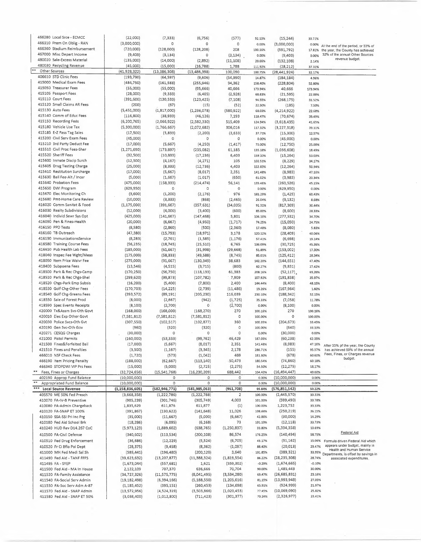|       | 466280 Local Srce - ECMCC    | (22,000)           | (7, 333)         | (6,756)          | (577)          | 92.13%             | (15, 244)                   | 30.71%           |                                                                                 |
|-------|------------------------------|--------------------|------------------|------------------|----------------|--------------------|-----------------------------|------------------|---------------------------------------------------------------------------------|
|       | 466310 Prem On Oblig - RAN   | (3,000,000)        | 0                | 0                | 0              | 0.00%              | (3,000,000)                 | 0.00%            |                                                                                 |
|       | 466360 Stadium Reimbursement | (720,000)          | (128,000)        | (128, 208)       | 208            | 100.16%            | (591, 792)                  |                  | At the end of the period, or 33% of<br>17.81% the year, the County has achieved |
|       | 467000 Misc Depart Income    | (9,403)            | (3, 134)         | 0                | (3, 134)       | 0.00%              | (9,403)                     | 0.00%            | 32% of the annual Other Sources                                                 |
|       | 480020 Sale-Excess Material  | (135,000)          | (14,000)         | (2,892)          | (11, 108)      | 20.66%             |                             | 2.14%            | revenue budget.                                                                 |
|       | 480030 Recycling Revenue     | (45,000)           | (15,000)         | (16, 788)        | 1,788          | 111.92%            | (132, 108)                  |                  |                                                                                 |
| $* *$ | Other Sources                | (41, 928, 322)     | (13, 386, 308)   | (13, 486, 398)   | 100,090        | 100.75%            | (28, 212)<br>(28, 441, 924) | 37.31%           |                                                                                 |
|       | 406610 STD Clinic Fees       | (193, 790)         | (64, 597)        | (9,606)          | (54,990)       |                    |                             | 32.17%           |                                                                                 |
|       | 415000 Medical Exam Fees     | (484, 750)         | (161, 583)       |                  |                | 14.87%             | (184, 184)                  | 4.96%            |                                                                                 |
|       | 415050 Treasurer Fees        |                    |                  | (255, 946)       | 94,362         | 158.40%            | (228, 804)                  | 52.80%           |                                                                                 |
|       | 415105 Passport Fees         | (55,000)           | (55,000)         | (95, 666)        | 40,666         | 173.94%            | 40,666                      | 173.94%          |                                                                                 |
|       |                              | (28,000)           | (9, 333)         | (6,405)          | (2,928)        | 68.63%             | (21, 595)                   | 22.88%           |                                                                                 |
|       | 415110 Court Fees            | (391, 600)         | (130, 533)       | (123, 425)       | (7, 108)       | 94.55%             | (268, 175)                  | 31.52%           |                                                                                 |
|       | 415120 Small Claims AR Fees  | (200)              | (67)             | (15)             | (52)           | 22.50%             | (185)                       | 7.50%            |                                                                                 |
|       | 415130 Auto Fees             | (5,451,000)        | (1,817,000)      | (1, 236, 078)    | (580, 922)     | 68.03%             | (4, 214, 922)               | 22.68%           |                                                                                 |
|       | 415140 Comm of Educ Fees     | (116, 800)         | (38, 933)        | (46, 126)        | 7,193          | 118.47%            | (70, 674)                   | 39.49%           |                                                                                 |
|       | 415150 Recording Fees        | (6, 200, 765)      | (2,066,922)      | (2,582,330)      | 515,409        | 124.94%            | (3,618,435)                 | 41.65%           |                                                                                 |
|       | 415180 Vehicle Use Tax       | (5,300,000)        | (1,766,667)      | (2,072,682)      | 306,016        | 117.32%            | (3, 227, 318)               | 39.11%           |                                                                                 |
|       | 415185 E-Z Pass Tag Sales    | (17,500)           | (5,833)          | (2, 200)         | (3,633)        | 37.71%             | (15, 300)                   | 12.57%           |                                                                                 |
|       | 415200 Civil Serv Exam Fees  | (45,000)           | $\mathbb O$      | 0                | 0              | 0.00%              | (45,000)                    | 0.00%            |                                                                                 |
|       | 415210 3rd Party Deduct Fee  | (17,000)           | (5,667)          | (4,250)          | (1, 417)       | 75.00%             | (12,750)                    | 25.00%           |                                                                                 |
|       | 415510 Civil Proc Fees-Sher  | (1, 271, 690)      | (173, 897)       | (235,082)        | 61,185         | 135.18%            | (1,036,608)                 | 18.49%           |                                                                                 |
|       | 415520 Sheriff Fees          | (32, 500)          | (10, 833)        | (17, 236)        | 6,403          | 159.10%            | (15, 264)                   | 53.03%           |                                                                                 |
|       | 415600 Inmate Discip Surch   | (12, 500)          | (4, 167)         | (4, 271)         | 105            | 102.51%            | (8, 229)                    | 34.17%           |                                                                                 |
|       | 415605 Drug Testing Charge   | (25,000)           | (8, 333)         | (12, 736)        | 4,403          | 152.83%            |                             | 50.94%           |                                                                                 |
|       | 415610 Restitution Surcharge |                    |                  |                  |                |                    | (12, 264)                   |                  |                                                                                 |
|       | 415630 Bail Fee-Alt / Incar  | (17,000)           | (5,667)          | (8,017)          | 2,351          | 141.48%            | (8,983)                     | 47.16%           |                                                                                 |
|       |                              | (5,000)            | (1,667)          | (1,017)          | (650)          | 61.02%             | (3,983)                     | 20.34%           |                                                                                 |
|       | 415640 Probation Fees        | (475,000)          | (158, 333)       | (214, 474)       | 56,141         | 135.46%            | (260, 526)                  | 45.15%           |                                                                                 |
|       | 415650 DWI Program           | (629, 950)         | 0                | 0                | $\circ$        | 0.00%              | (629, 950)                  | 0.00%            |                                                                                 |
|       | 415670 Elec Monitoring Ch    | (3,600)            | (1,200)          | (2, 176)         | 976            | 181.29%            | (1, 425)                    | 60.43%           |                                                                                 |
|       | 415680 Pmt-Home Care Review  | (10,000)           | (3, 333)         | (868)            | (2, 465)       | 26.04%             | (9, 132)                    | 8.68%            |                                                                                 |
|       | 416020 Comm Sanitat & Food   | (1, 175, 000)      | (391, 667)       | (357, 631)       | (34, 035)      | 91.31%             | (817,369)                   | 30.44%           |                                                                                 |
|       | 416030 Realty Subdivisions   | (12,000)           | (4,000)          | (3,400)          | (600)          | 85.00%             | (8,600)                     | 28.33%           |                                                                                 |
|       | 416040 Individ Sewr Sys Opt  | (425,000)          | (141, 667)       | (147, 468)       | 5,801          | 104.10%            | (277, 532)                  | 34.70%           |                                                                                 |
|       | 416090 Pen & Fines-Health    | (20,000)           | (6,667)          | (4,950)          | (1, 717)       | 74.25%             | (15,050)                    | 24.75%           |                                                                                 |
|       | 416150 PPD Tests             | (8,580)            | (2,860)          | (500)            | (2, 360)       | 17.48%             | (8,080)                     | 5.83%            |                                                                                 |
|       | 416160 TB Outreach           | (47, 380)          | (15, 793)        | (18, 971)        | 3,178          | 120.12%            | (28, 409)                   | 40.04%           |                                                                                 |
|       | 416190 ImmunizationsService  | (8, 283)           | (2,761)          | (1, 585)         | (1, 176)       | 57.41%             | (6,698)                     | 19.14%           |                                                                                 |
|       | 416580 Training Course Fees  | (56, 235)          | (18, 745)        | (25, 510)        | 6,765          | 136.09%            | (30, 725)                   | 45.36%           |                                                                                 |
|       | 416610 Pub Health Lab Fees   | (185,000)          | (61, 667)        | (31,998)         | (29, 668)      | 51.89%             | (153,002)                   | 17.30%           |                                                                                 |
|       | 418040 Inspec Fee Wght/Meas  | (175,000)          | (58, 333)        |                  |                |                    |                             |                  |                                                                                 |
|       | 418050 Item Price Waivr Fee  |                    |                  | (49,588)         | (8, 745)       | 85.01%             | (125, 412)                  | 28.34%           |                                                                                 |
|       |                              | (275,000)          | (91, 667)        | (130, 349)       | 38,683         | 142.20%            | (144, 651)                  | 47.40%           |                                                                                 |
|       | 418400 Subpoena Fees         | (13, 546)          | (4, 515)         | (3,715)          | (800)          | 82.27%             | (9,831)                     | 27.42%           |                                                                                 |
|       | 418500 Park & Rec Chgs-Camp  | (170, 250)         | (56,750)         | (118, 133)       | 61,383         | 208.16%            | (52, 117)                   | 69.39%           |                                                                                 |
|       | 418510 Park & Rec Chgs-Shel  | (299, 620)         | (99, 873)        | (107, 782)       | 7,909          | 107.92%            | (191, 838)                  | 35.97%           |                                                                                 |
|       | 418520 Chgs-Park Emp Subsis  | (16, 200)          | (5,400)          | (7,800)          | 2,400          | 144.44%            | (8,400)                     | 48.15%           |                                                                                 |
|       | 418530 Golf Chg-Other Fees   | (170, 703)         | (14, 225)        | (2,739)          | (11, 486)      | 19.26%             | (167, 964)                  | 1.60%            |                                                                                 |
|       | 418540 Golf Chg-Greens Fees  | (393,572)          | (89, 191)        | (205, 230)       | 116,039        | 230.10%            | (188, 342)                  | 52.15%           |                                                                                 |
|       | 418550 Sale of Forest Prod   | (8,000)            | (2,667)          | (942)            | (1, 725)       | 35.33%             | (7,058)                     | 11.78%           |                                                                                 |
|       | 418590 Spec Events Receipts  | (8,100)            | (2,700)          | 0                | (2,700)        | 0.00%              | (8, 100)                    | 0.00%            |                                                                                 |
|       | 420000 Tx&Assm Svs-Oth Govt  | (168,000)          | (168,000)        | (168, 270)       | 270            | 100.16%            | 270                         | 100.16%          |                                                                                 |
|       |                              |                    |                  |                  |                |                    |                             |                  |                                                                                 |
|       | 420010 Elec Exp Other Govt   | (7, 581, 812)      | (7, 581, 812)    | (7, 581, 812)    | 0              | 100.00%            | $\circ$                     | 100.00%          |                                                                                 |
|       | 420030 Police Svcs-Oth Gvt   |                    |                  |                  |                |                    |                             |                  |                                                                                 |
|       | 420190 Gen Svc-Oth Gov       | (307, 550)         | (102, 517)       | (102, 877)       | 360<br>0       | 100.35%<br>100.00% | (204, 673)                  | 33.45%<br>33.33% |                                                                                 |
|       | 420271 CESQG Charges         | (960)              | (320)<br>$\circ$ | (320)<br>$\circ$ | 0              | 0.00%              | (640)<br>(30,000)           | 0.00%            |                                                                                 |
|       |                              | (30,000)           |                  |                  |                |                    |                             |                  |                                                                                 |
|       | 421000 Pistol Permits        | (160,000)          | (53, 333)        | (99, 762)        | 46,429         | 187.05%            | (60, 238)                   | 62.35%           |                                                                                 |
|       | 421500 Fines&Forfeited Bail  | (17,000)           | (5,667)          | (8,017)          | 2,351          | 141.48%            | (8,983)                     | 47.16%           | After 33% pf the year, the County                                               |
|       | 421510 Fines and Penalties   | (3,500)            | (1, 167)         | (3, 345)         | 2,178          | 286.71%            | (155)                       | 95.57%           | has achieved 50% of the annual<br>Fees, Fines, or Charges revenue               |
|       | 466010 NSF Check Fees        | (1,720)            | (573)            | (1,042)          | 469            | 181.80%            | (678)                       | 60.60%           | budget.                                                                         |
|       | 466190 Item Pricing Penalty  | (188,000)          | (62, 667)        | (113, 140)       | $-50,473$      | 180.54%            | (74, 860)                   | 60.18%           |                                                                                 |
|       | 466340 STOPDWI VIP Prs Fees  | (15,000)           | (5,000)          | (2,725)          | (2, 275)       | 54.50%             | (12, 275)                   | 18.17%           |                                                                                 |
|       | Fees, Fines or Charges       | (32, 724, 656)     | (15, 541, 768)   | (16, 230, 209)   | 688,442        | 104.43%            | (16, 494, 447)              | 49.60%           |                                                                                 |
|       | 402190 Approp Fund Balance   | (10,000,000)       | 0                | $\circ$          | 0              | 0.00%              | (10,000,000)                | 0.00%            |                                                                                 |
| 車車    | Appropriated Fund Balance    | (10,000,000)       | $\circ$          | $\circ$          | 0              | 0.00%              | (10,000,000)                | 0.00%            |                                                                                 |
|       | *** Local Source Revenue     | (1, 158, 836, 605) | (582, 946, 771)  | (581, 985, 063)  | (961, 708)     | 99.84%             | (576,851,542)               | 50.22%           |                                                                                 |
|       | 40S570 ME 50% Fed Presch     | (3,668,358)        | (1, 222, 786)    | (1, 222, 788)    | $\overline{2}$ | 100.00%            | (2,445,570)                 | 33.33%           |                                                                                 |
|       | 410070 FA-IV-B Preventive    | (905, 239)         | (301, 746)       | (305, 749)       | 4,003          | 101.33%            | (599, 490)                  | 33.78%           |                                                                                 |
|       | 410080 FA-Admin Chargeback   | 1,835,629          | 611,876          | 611,877          | (1)            | 100.00%            | 1,223,752                   | 33.33%           |                                                                                 |
|       | 410120 FA-SNAP ET 100%       | (391, 867)         | (130, 622)       | (141, 648)       | 11,026         | 108.44%            | (250, 219)                  | 36.15%           |                                                                                 |
|       | 410150 SSA-SSI Pri Inc Prg   | (35,000)           | (11,667)         | (5,000)          | (6,667)        | 42.86%             | (30,000)                    | 14.29%           |                                                                                 |
|       | 410180 Fed Aid School Brk    | (18, 286)          | (6,095)          | (6, 168)         | 73             | 101.19%            | (12, 118)                   | 33.73%           |                                                                                 |
|       | 410240 HUD Rev D14.267 CoC   | (5,973,123)        | (1,889,602)      | (638, 765)       | (1, 250, 837)  | 33.80%             | (5,334,358)                 | 10.69%           |                                                                                 |
|       |                              |                    |                  |                  |                |                    |                             |                  | Federal Aid                                                                     |
|       | 410500 FA-Civil Defense      | (340, 602)         | (113, 534)       | (200, 108)       | 86,574         | 176.25%            | (140, 494)                  | 58.75%           |                                                                                 |
|       | 410510 Fed Drug Enforcement  | (36, 686)          | (12, 229)        | (5, 524)         | (6, 705)       | 45.17%             | (31, 162)                   | 15.06%           | Formula driven Federal Aid which                                                |
|       | 410520 Fr Ci Bflo Pol Dept   | (28, 375)          | (9,458)          | (8, 362)         | (1,097)        | 88.40%             | (20, 013)                   | 29.47%           | appears under budget, mainly in<br>Health and Human Service                     |
|       | 411000 MH Fed Medi Sal Sh    | (589, 441)         | (196, 480)       | (200, 120)       | 3,640          | 101.85%            | (389, 321)                  | 33.95%           | Departments, is offset by savings in                                            |
|       | 411490 Fed Aid - TANF FFFS   | (39, 623, 632)     | (13, 207, 877)   | (11, 388, 324)   | (1,819,554)    | 86.22%             | (28, 235, 308)              | 28.74%           | associated expenditures.                                                        |
|       | 411495 FA - SYEP             | (1,673,044)        | (557, 681)       | 1,621            | (559, 302)     | $-0.29%$           | (1,674,665)                 | $-0.10%$         |                                                                                 |
|       | 411500 Fed Aid - MA In House | 2,122,109          | 707,370          | 636,666          | 70,704         | 90.00%             | 1,485,443                   | 30.00%           |                                                                                 |
|       | 411520 FA-Family Assistance  | (34,727,326)       | (11, 575, 775)   | (8,041,495)      | (3,534,280)    | 69.47%             | (26, 685, 831)              | 23.16%           |                                                                                 |
|       | 411540 FA-Social Serv Admin  | (19, 182, 498)     | (6, 394, 166)    | (5, 188, 550)    | (1, 205, 616)  | 81.15%             | (13,993,948)                | 27.05%           |                                                                                 |
|       | 411550 FA-Soc Serv Adm A-87  | (1, 185, 452)      | (395, 151)       | (260, 453)       | (134, 698)     | 65.91%             | (924, 999)                  | 21.97%           |                                                                                 |
|       | 411570 Fed Aid - SNAP Admin  | (13, 572, 956)     | (4,524,319)      | (3,503,866)      | (1,020,453)    | 77.45%             | (10,069,090)                | 25.82%           |                                                                                 |

ķ.

Ŷ,

 $\overline{\phantom{a}}$ 

 $\mathcal{L}$ 

 $\frac{1}{\sqrt{2\pi}}$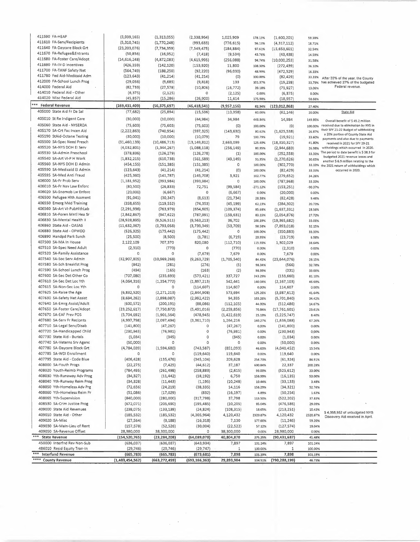| 411590 FA-HEAP                    | (3,939,165)     | (1, 313, 055)   | (2,338,964)     | 1,025,909     | 178.13%    | (1,600,201)     | 59.38%    |                                                                            |
|-----------------------------------|-----------------|-----------------|-----------------|---------------|------------|-----------------|-----------|----------------------------------------------------------------------------|
| 411610 FA-Serv/Recipients         | (5,310,745)     | (1,770,248)     | (993, 633)      | (776, 615)    | 56.13%     | (4,317,112)     | 18.71%    |                                                                            |
| 411640 FA-Daycare Block Grt       | (23, 203, 076)  | (7, 734, 359)   | (7, 549, 475)   | (184, 884)    | 97.61%     | (15, 653, 601)  | 32.54%    |                                                                            |
| 411670 FA-Refugee&Entrants        | (50, 856)       | (16, 952)       | (7, 418)        | (9,534)       | 43.76%     | (43, 438)       | 14.59%    |                                                                            |
| 411680 FA-Foster Care/Adopt       | (14, 616, 248)  | (4,872,083)     |                 |               |            |                 |           |                                                                            |
| 411690 FA-IV-D Incentives         |                 |                 | (4,615,995)     | (256,088)     | 94.74%     | (10,000,253)    | 31.58%    |                                                                            |
|                                   | (426, 359)      | (142, 120)      | (153, 920)      | 11,800        | 108.30%    | (272, 439)      | 36.10%    |                                                                            |
| 411700 FA-TANF Safety Net         | (564, 749)      | (188, 250)      | (92, 220)       | (96,030)      | 48.99%     | (472, 529)      | 16.33%    |                                                                            |
| 411780 Fed Aid-Medicaid Adm       | (123, 643)      | (41, 214)       | (41, 214)       | (0)           | 100.00%    | (82, 429)       | 33.33%    | After 33% of the year, the County                                          |
| 412000 FA-School Lunch Prog       | (29,056)        | (9,685)         | (9,818)         | 133           | 101.37%    | (19, 238)       | 33.79%    | has achieved 27% of the budgeted                                           |
| 414000 Federal Aid                | (82, 733)       | (27, 578)       | (10, 806)       | (16, 772)     | 39.18%     | (71, 927)       | 13,06%    | Federal revenue.                                                           |
| 414010 Federal Aid - Other        | (6, 375)        | (2, 125)        | 0               | (2, 125)      | 0.00%      | (6, 375)        | 0.00%     |                                                                            |
| 414020 Misc Federal Aid           | (45, 857)       | (15, 286)       | (26,900)        | 11,614        | 175.98%    | (18, 957)       | 58.66%    |                                                                            |
| ***                               |                 |                 |                 |               |            |                 |           |                                                                            |
| <b>Federal Revenue</b>            | (169, 431, 409) | (56, 375, 697)  | (46, 418, 541)  | (9,957,156)   | 82.34%     | (123, 012, 868) | 27.40%    |                                                                            |
| 405000 State Aid Fr Da Sal        | (77, 682)       | (25, 894)       | (15, 536)       | (10, 358)     | 60.00%     | (62, 146)       | 20.00%    | State Aid                                                                  |
| 405010 St Re Indigent Care        | (30,000)        | (10,000)        | (44,984)        | 34,984        | 449.84%    | 14,984          | 149.95%   |                                                                            |
|                                   |                 |                 |                 |               |            |                 |           | Overall benefit of \$45.2 million                                          |
| 405060 State Aid - NYSERDA        | (75, 603)       | (75, 603)       | (75, 603)       | (0)           | 100.00%    | (0)             | 100.00%   | received due to elimination by NYS in                                      |
| 405170 SA-Crt Fac Incen Aid       | (2, 222, 863)   | (740, 954)      | (597, 325)      | (143, 630)    | 80.62%     | (1,625,538)     | 26.87%    | their SFY 21-22 Budget of withholding<br>a 20% portion of County State Aid |
| 405190 StAid-Octane Testing       | (30,000)        | (10,000)        | (10,079)        | 79            | 100.79%    | (19, 921)       | 33.60%    | payments and also due to payments                                          |
| 405500 SA-Spec Need Presch        | (31, 460, 139)  | (10, 486, 713)  | (13, 149, 812)  | 2,663,099     | 125.40%    | (18, 310, 327)  | 41.80%    | received in 2021 for SFY 20-21                                             |
| 405520 SA-NYS DOH EI Serv         | (4,032,801)     | (1,344,267)     | (1,088,118)     | (256, 149)    | 80.95%     | (2,944,683)     | 26.98%    | witholdings which occurred in 2020.                                        |
| 405530 SA-Admin Preschool         | (378, 836)      | (126, 279)      | (126, 278)      | (1)           | 100.00%    | (252, 558)      | 33.33%    | The period to date benefit is \$38.3 for                                   |
| 405540 SA-Art VI-P H Work         |                 |                 |                 |               |            |                 |           | budgeted 2021 revenue losses and                                           |
|                                   | (1,832,215)     | (610, 738)      | (561, 589)      | (49, 149)     | 91.95%     | (1, 270, 626)   | 30.65%    | another \$ 6.9 million relating to the                                     |
| 405560 SA-NYS DOH EI Admin        | (454, 155)      | (151, 385)      | (151, 385)      | 0             | 100.00%    | (302, 770)      | 33.33%    | the 2021 return of withholdings which                                      |
| 405590 SA-Medicaid El Admin       | (123, 643)      | (41, 214)       | (41, 214)       | (0)           | 100.00%    | (82, 429)       | 33.33%    | occurred in 2020.                                                          |
| 405595 SA-Med Anti Fraud          | (425, 360)      | (141, 787)      | (145, 708)      | 3,921         | 102.77%    | (279, 652)      | 34.26%    |                                                                            |
| 406000 SA-Fr Prob Serv            | (1, 181, 952)   | (393, 984)      | (393, 984)      | $\circ$       | 100.00%    | (787, 968)      | 33.33%    |                                                                            |
| 406010 SA-Fr Nav Law Enforc       | (80, 500)       | (26, 833)       | 72,751          | (99, 584)     | $-271.12%$ | (153, 251)      | $-90.37%$ |                                                                            |
| 406020 SA-Snomob Lw Enforc        | (20,000)        |                 | 0               |               |            |                 |           |                                                                            |
|                                   |                 | (6,667)         |                 | (6,667)       | 0.00%      | (20,000)        | 0.00%     |                                                                            |
| 406500 Refugee Hith Assment       | (91, 041)       | (30, 347)       | (8,613)         | (21, 734)     | 28.38%     | (82, 428)       | 9.46%     |                                                                            |
| 406550 Emerg Med Training         | (358, 655)      | (119, 552)      | (74, 353)       | (45, 199)     | 62.19%     | (284, 302)      | 20.73%    |                                                                            |
| 406560 SA-Art VI-PubHlthLab       | (2, 291, 936)   | (763, 979)      | (654,605)       | (109, 374)    | 85.68%     | (1,637,331)     | 28.56%    |                                                                            |
| 406810 SA-Foren Mntl Hea Sr       | (2,842,867)     | (947, 622)      | (787, 991)      | (159, 631)    | 83.15%     | (2,054,876)     | 27.72%    |                                                                            |
| 406830 SA-Mental Health II        | (28,928,895)    | (9,526,511)     | (9, 563, 213)   | 36,702        | 100.39%    | (19, 365, 682)  | 33.06%    |                                                                            |
| 406860 State Aid - OASAS          | (11,632,367)    | (3,793,058)     | (3,739,349)     | (53,709)      | 98.58%     |                 | 32.15%    |                                                                            |
| 406880 State Aid - OPWDD          |                 |                 |                 |               |            | (7,893,018)     |           |                                                                            |
|                                   | (526, 325)      | (175, 442)      | (175, 442)      | 0             | 100.00%    | (350, 883)      | 33.33%    |                                                                            |
| 406890 Handpd Park Surch          | (25, 500)       | (8,500)         | (1,781)         | (6, 719)      | 20.95%     | (23, 719)       | 6.98%     |                                                                            |
| 407500 SA-MA In House             | 2,122,109       | 707,370         | 820,080         | (112, 710)    | 115.93%    | 1,302,029       | 38.64%    |                                                                            |
| 407510 SA-Spec Need Adult         | (2,310)         | (770)           | 0               | (770)         | 0.00%      | (2, 310)        | 0.00%     |                                                                            |
| 407520 SA-Family Assistance       | 0               | $\circ$         | (7,679)         | 7,679         | 0.00%      | 7,679           | 0.00%     |                                                                            |
| 407540 SA-Soc Serv Admin          | (32,907,805)    | (10,969,268)    | (9, 263, 729)   | (1,705,540)   | 84.45%     | (23, 644, 076)  | 28.15%    |                                                                            |
| 407580 SA-Sch Breakfst Prog       | (842)           | (281)           |                 |               |            |                 |           |                                                                            |
|                                   |                 |                 | (276)           | (5)           | 98.34%     | (566)           | 32.78%    |                                                                            |
| 407590 SA-School Lunch Prog       | (494)           | (165)           | (163)           | (2)           | 98.99%     | (331)           | 33.00%    |                                                                            |
| 407600 SA-Sec Det Other Co        | (707,080)       | (235, 693)      | (573,421)       | 337,727       | 243.29%    | (133, 660)      | 81.10%    |                                                                            |
| 407610 SA-Sec Det Loc Yth         | (4,064,316)     | (1, 354, 772)   | (1,897,213)     | 542,441       | 140.04%    | (2, 167, 103)   | 46.68%    |                                                                            |
| 407615 SA-Non-Sec Loc Yth         | 0               | o               | (114, 607)      | 114,607       | 0.00%      | 114,607         | 0.00%     |                                                                            |
| 407625 SA-Raise the Age           | (6,832,520)     | (2, 271, 213)   | (2,844,908)     | 573,694       | 125.26%    | (3,987,612)     | 41.64%    |                                                                            |
| 407630 SA-Safety Net Assist       | (8,694,262)     | (2,898,087)     | (2,992,422)     | 94,335        | 103.26%    | (5,701,840)     | 34.42%    |                                                                            |
| 407640 SA-Emrg Assist/Adult       | (600, 572)      | (200, 191)      | (88,086)        | (112, 105)    | 44.00%     | (512, 486)      | 14.67%    |                                                                            |
|                                   |                 |                 |                 |               |            |                 |           |                                                                            |
| 407650 SA-Foster Care/Adopt       | (23, 252, 617)  | (7, 750, 872)   | (5,491,016)     | (2, 259, 856) | 70.84%     | (17, 761, 601)  | 23.61%    |                                                                            |
| 407670 SA-EAF Prev POS            | (5,704,692)     | (1,901,564)     | (478, 945)      | (1,422,619)   | 25.19%     | (5, 225, 747)   | 8.40%     |                                                                            |
| 407680 SA-Serv Fr Recipnts        | (4,997,798)     | (2,097,494)     | (3,361,710)     | 1,264,216     | 160.27%    | (1,636,088)     | 67.26%    |                                                                            |
| 407710 SA-Legal Serv/Disab        | (141,800)       | (47, 267)       | 0               | (47, 267)     | 0.00%      | (141, 800)      | 0.00%     |                                                                            |
| 407720 SA-Handicapped Child       | (230, 943)      | (76, 981)       | 0               | (76, 981)     | 0.00%      | (230, 943)      | 0.00%     |                                                                            |
| 407730 State Aid - Burials        | (1,034)         | (345)           | $\circ$         | (345)         | 0.00%      | (1,034)         | 0.00%     |                                                                            |
| 407740 SA-Veterns Srv Agenc       | (50,000)        | 0               | 0               | 0             | 0.00%      | (50,000)        | 0.00%     |                                                                            |
| 407780 SA-Daycare Block Grt       | (4,784,039)     | (1, 594, 680)   | (743, 587)      | (851,093)     | 46.63%     | (4,040,452)     | 15.54%    |                                                                            |
| 407785 SA-WDI Enrollment          |                 |                 |                 |               |            |                 |           |                                                                            |
|                                   | 0               | 0               | (119, 640)      | 119,640       | 0.00%      | 119,640         | 0.00%     |                                                                            |
| 407795 State Aid - Code Blue      | (406, 428)      | (135, 476)      | (345, 104)      | 209,628       | 254.73%    | (61, 324)       | 84.91%    |                                                                            |
| 408000 SA-Youth Progs             | (22, 275)       | (7, 425)        | (44, 612)       | 37,187        | 600.84%    | 22,337          | 200.28%   |                                                                            |
| 408020 Youth-Reimb Programs       | (784, 495)      | (261, 498)      | (258, 883)      | (2,615)       | 99.00%     | (525, 612)      | 33.00%    |                                                                            |
| 408030 Yth-Runaway Adv Prog       | (34, 327)       | (11, 442)       | (18, 192)       | 6,750         | 158.99%    | (16, 135)       | 53.00%    |                                                                            |
| 408040 Yth-Runway Reim Prog       | (34, 328)       | (11, 443)       | (1, 195)        | (10, 248)     | 10.44%     | (33, 133)       | 3.48%     |                                                                            |
| 408050 Yth-Homeless Adv Prg       | (72, 656)       | (24, 219)       | (38, 335)       | 14,116        | 158.29%    | (34, 321)       | 52.76%    |                                                                            |
| 408060 Yth-Homeless Reim Pr       |                 |                 |                 |               |            |                 |           |                                                                            |
|                                   | (51,086)        | (17, 029)       | (832)           | (16, 197)     | 4.89%      | (50, 254)       | 1.63%     |                                                                            |
| 408065 Yth-Supervision            | (840,000)       | (280,000)       | (317, 798)      | 37,798        | 113.50%    | (522, 202)      | 37.83%    |                                                                            |
| 408530 SA-Crim Justice Prog       | (672,071)       | (205, 690)      | (195, 485)      | (10, 205)     | 95.04%     | (476, 586)      | 29.09%    |                                                                            |
| 409000 State Aid Revenues         | (238, 075)      | (133, 138)      | (24, 824)       | (108, 315)    | 18.65%     | (213, 251)      | 10.43%    |                                                                            |
| 409010 State Aid - Other          | (185, 532)      | (185, 532)      | (4,305,964)     | 4,120,432     | 2320.87%   | 4,120,432       | 2320.87%  | \$4,068,952 of unbudgeted NYS<br>Discovery Aid received in April.          |
| 409020 SA-Misc                    | (27, 564)       | (9, 188)        | (16, 318)       | 7,130         | 177.60%    | (11, 246)       | 59.20%    |                                                                            |
| 409030 SA-Main-Lieu of Rent       | (157, 578)      | (52, 526)       | (30,004)        | (22, 522)     | 57.12%     | (127, 574)      | 19.04%    |                                                                            |
| 409050 SA-Revenue Offset          | 28,980,000      | 38,300,000      | 0               | 38,300,000    | 0.00%      | 28,980,000      | 0:00%     |                                                                            |
| ***                               |                 |                 |                 |               |            |                 |           |                                                                            |
| <b>State Revenue</b>              | (154, 520, 765) | (23, 284, 208)  | (64,089,078)    | 40,804,870    | 275.25%    | (90, 431, 687)  | 41.48%    |                                                                            |
| 450000 Interfnd Rev Non-Sub       | (636, 037)      | (636, 037)      | (643, 934)      | 7,897         | 101.24%    | 7,897           | 101.24%   |                                                                            |
| 486010 Resid Equity Tran-In       | (29, 746)       | (29, 746)       | (29, 747)       | 1             | 100.00%    | 1               | 100.00%   |                                                                            |
| $***$<br><b>Interfund Revenue</b> | (665, 783)      | (665, 783)      | (673, 681)      | 7,898         | 101.19%    | 7,898           | 101.19%   |                                                                            |
| **** County Revenue               | (1,483,454,562) | (663, 272, 459) | (693, 166, 363) | 29,893,904    | 104.51%    | (790, 288, 199) | 46.73%    |                                                                            |

 $\sim$ 

 $\bar{z}$ 

 $\hat{\mathcal{A}}$ 

 $\hat{\mathcal{A}}$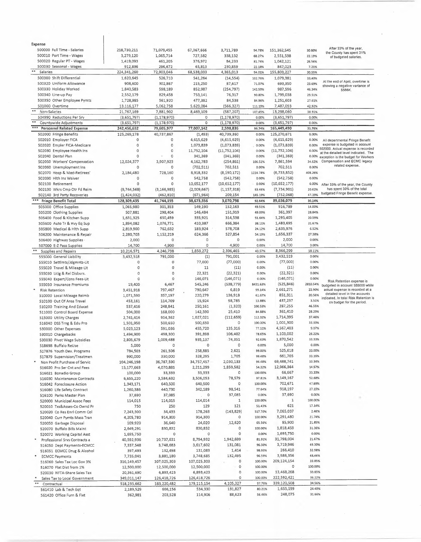| Expense                                                   |                        |                       |                      |                           |                   |                            |                   |                                                                                   |
|-----------------------------------------------------------|------------------------|-----------------------|----------------------|---------------------------|-------------------|----------------------------|-------------------|-----------------------------------------------------------------------------------|
| 500000 Full Time - Salaries                               | 218,730,211            | 71,079,455            | 67,367,666           | 3,711,789                 | 94.78%            | 151,362,545                | 30.80%            | After 33% of the year,<br>the County has spent 31%                                |
| 500010 Part Time - Wages                                  | 3,279,120              | 1,065,714             | 727,582              | 338,132                   | 68.27%            | 2,551,538                  | 22.19%            | of budgeted salaries.                                                             |
| 500020 Regular PT - Wages                                 | 1,419,093              | 461,205               | 376,972              | 84,233                    | 81.74%            | 1,042,121                  | 26.56%            |                                                                                   |
| 500030 Seasonal - Wages<br>**<br>Salaries                 | 912,836<br>224,341,260 | 296,672<br>72,903,046 | 65,813<br>68,538,033 | 230,859<br>4,365,013      | 22.18%<br>94.01%  | 847,023<br>155,803,227     | 7.21%<br>30.55%   |                                                                                   |
| 500300 Shift Differential                                 | 1,620,645              | 526,710               | 541,264              | (14, 554)                 | 102.76%           | 1,079,381                  | 33.40%            |                                                                                   |
| 500320 Uniform Allowance                                  | 908,600                | 302,867               | 215,250              | 87,617                    | 71.07%            | 693,350                    | 23.69%            | At the end of April, overtime is                                                  |
| 500330 Holiday Worked                                     | 1,840,583              | 598,189               | 852,987              | (254, 797)                | 142.59%           | 987,596                    | 46.34%            | showing a negative variance of<br>\$566K.                                         |
| 500340 Line-up Pay                                        | 2,552,179              | 829,458               | 753,141              | 76,317                    | 90.80%            | 1,799,038                  | 29.51%            |                                                                                   |
| 500350 Other Employee Pymts                               | 1,728,985              | 561,920               | 477,382              | 84,538                    | 84.96%            | 1,251,603                  | 27.61%            |                                                                                   |
| 501000 Overtime                                           | 13,116,177             | 5,062,758             | 5,629,084            | (566, 327)                | 111.19%           | 7,487,093                  | 42.92%            |                                                                                   |
| $\pm\pm$<br>Non-Salaries                                  | 21,767,169             | 7,881,902             | 8,469,109            | (587, 207)                | 107.45%           | 13,298,060                 | 38.91%            |                                                                                   |
| 504990 Reductions Per Srv                                 | (3,651,797)            | (1, 178, 970)         | 0                    | (1, 178, 970)             | 0.00%             | (3,651,797)                | 0.00%             |                                                                                   |
| Countywide Adjustments                                    | (3,651,797)            | (1, 178, 970)         | 0                    | (1, 178, 970)             | 0.00%             | (3,651,797)                | 0.00%             |                                                                                   |
| *** Personnel Related Expense                             | 242,456,632            | 79,605,977            | 77,007,142           | 2,598,836                 | 96.74%            | 165,449,490                | 31.76%            |                                                                                   |
| 502000 Fringe Benefits<br>502010 Employer FICA            | 125,269,178<br>0       | 40,737,867<br>$\circ$ | (1,493)<br>4,615,629 | 40,739,360<br>(4,615,629) | 0.00%<br>0.00%    | 125,270,671<br>(4,615,629) | 0.00%<br>0.00%    |                                                                                   |
| 502020 Empler FICA-Medicare                               | 0                      | $\circ$               | 1,073,839            | (1,073,839)               | 0.00%             | (1,073,839)                | 0.00%             | All departmental Fringe Benefit<br>expense is budgeted in account                 |
| 502030 Employee Health Ins                                | 0                      | $\circ$               | 11,752,104           | (11, 752, 104)            | 0.00%             | (11, 752, 104)             | 0.00%             | 502000. Actual expense is recorded                                                |
| 502040 Dental Plan                                        | 0                      | $\circ$               | 341,369              | (341, 369)                | 0.00%             | (341, 369)                 |                   | at the detailed level indicated. The<br>0.00% exception is the budget for Workers |
| 502050 Workers' Compensation                              | 12,024,377             | 3,907,923             | 4,162,783            | (254, 861)                | 106.52%           | 7,861,594                  | 34.62%            | Compensation and ECMC legacy                                                      |
| 502060 Unemployment Ins                                   | O                      | O                     | (702, 511)           | 702,511                   | 0.00%             | 702,511                    | 0.00%             | related expense.                                                                  |
| 502070 Hosp & Med-Retirees'                               | 2,184,480              | 728,160               | 8,918,332            | (8, 190, 172)             | 1224.78%          | (6,733,852)                | 408.26%           |                                                                                   |
| 502090 Hith Ins Waiver                                    | $\Omega$               | 0                     | 542,758              | (542, 758)                | 0.00%             | (542, 758)                 | 0.00%             |                                                                                   |
| 502100 Retirement                                         | $\Omega$               | 0                     | 10,652,177           | (10,652,177)              | $-0.00%$          | (10, 652, 177)             | 0.00%             | After 33% of the year, the County                                                 |
| 502130 Wkrs Cmp Otr Fd Reim                               | (9,744,568)            | (3, 166, 985)         | (2,009,667)          | (1, 157, 318)             | 63.46%            | (7, 734, 901)              | 20.62%            | has spent 30% of the total<br>budgeted Fringe Benefit expense.                    |
| 502140 3rd Party Recoveries                               | (1,424,032)            | (462, 810)            | (671, 964)           | 209,154                   | 145.19%           | (752,068)                  | 47.19%            |                                                                                   |
| ***<br><b>Fringe Benefit Total</b>                        | 128,309,435            | 41,744,155            | 38,673,356           | 3,070,798                 | 92.64%            | 89,636,079                 | 30.14%            |                                                                                   |
| 505000 Office Supplies                                    | 1,065,980              | 301,353               | 149,190              | 152,163                   | 49.51%            | 916,789<br>361,397         | 14.00%<br>28.84%  |                                                                                   |
| 505200 Clothing Supplies<br>505400 Food & Kitchen Supp    | 507,881<br>1,631,325   | 298,404<br>650,459    | 146,484<br>335,921   | 151,919<br>314,538        | 49.09%<br>51.64%  | 1,295,405                  | 20.59%            |                                                                                   |
| 505600 Auto Tr & Hvy Eq Sup                               | 1,894,082              | 1,076,771             | 410,387              | 666,384                   | 38.11%            | 1,483,695                  | 21.67%            |                                                                                   |
| 505800 Medical & Hith Supp                                | 2,819,900              | 762,632               | 183,924              | 578,708                   | 24.12%            | 2,635,976                  | 6.52%             |                                                                                   |
| 506200 Maintenance & Repair                               | 2,280,703              | 1,152,219             | 624,366              | 527,854                   | 54.19%            | 1,656,337                  | 27.38%            |                                                                                   |
| 506400 Highway Supplies                                   | 2,000                  | 0                     | O                    | 0                         | 0.00%             | 2,000                      | 0.00%             |                                                                                   |
| 507000 E-Z Pass Supplies                                  | 14,700                 | 4,900                 | 0                    | 4,900                     | 0.00%             | 14,700                     | 0.00%             |                                                                                   |
| Supplies and Repairs                                      | 10,216,571             | 4,246,738             | 1,850,272            | 2,396,465                 | 43.57%            | 8,366,299                  | 18.11%            |                                                                                   |
| 555000 General Liability                                  | 3,432,518              | 791,000               | (1)                  | 791,001                   | 0.00%             | 3,432,519                  | 0.00%             |                                                                                   |
| 555010 Settlmts/Jdgmnts-Lit                               | $\circ$                | $\circ$               | 77,000               | (77,000)                  | 0.00%             | (77,000)                   | 0.00%             |                                                                                   |
| 555020 Travel & Mileage-Lit                               | $\circ$                | $\bf{0}$              | 11                   | (11)                      | 0.00%             | (11)                       | 0.00%             |                                                                                   |
| 555030 Litig & Rel Disburs.                               | 0                      | $\circ$               | 22,321               | (22, 321)                 | 0.00%             | (22, 321)                  | 0.00%             |                                                                                   |
| 555040 Expert/Cons Fees-Lit                               | O                      | $\circ$<br>6,467      | 146,071<br>545,246   | (146,071)<br>(538, 779)   | 0.00%<br>8431.63% | (146, 071)<br>(525, 846)   | 0.00%<br>2810.54% | Risk Retention expense is                                                         |
| 555050 Insurance Premiums<br><b>Risk Retention</b>        | 19,400<br>3,451,918    | 797,467               | 790,647              | 6,819                     | 99.14%            | 2,661,271                  | 22.90%            | budgeted in account 555000 while<br>actual expense is recorded at a               |
| 510000 Local Mileage Reimb                                | 1,071,590              | 357,197               | 220,279              | 136,918                   | 61.67%            | 851,311                    | 20.56%            | detailed level in the accounts                                                    |
| 510100 Out Of Area Travel                                 | 453,161                | 114,709               | 15,924               | 98,785                    | 13.88%            | 437,237                    | 3.51%             | indicated, In total Risk Retention is<br>on budget for the period.                |
| 510200 Training And Educat                                | 537,416                | 248,841               | 250,161              | (1, 320)                  | 100.53%           | 287,255                    | 46.55%            |                                                                                   |
| 511000 Control Board Expense                              | 504,000                | 168,000               | 142,590              | 25,410                    | 84.88%            | 361,410                    | 28.29%            |                                                                                   |
| 515000 Utility Charges                                    | 2,741,416              | 914,362               | 1,027,021            | (112, 659)                | 112.32%           | 1,714,395                  | 37.46%            |                                                                                   |
| 516040 DSS Trng & Edu Pro                                 | 1,501,950              | 500,650               | 500,650              | 0                         | 100.00%           | 1,001,300                  | 33.33%            |                                                                                   |
| 530000 Other Expenses                                     | 5,023,123              | 591,036               | 455,720              | 135,316                   | 77.11%            | 4,567,403                  | 9.07%             |                                                                                   |
| 530010 Chargebacks                                        | 1,494,900              | 498,300               | 391,898              | 106,402                   | 78.65%            | 1,103,002                  | 26.22%            |                                                                                   |
| 530030 Pivot Wage Subsidies                               | 2,805,679              | 1,009,488             | 935,137              | .74,351                   | 92.63%            | 1,870,542                  | 33.33%            |                                                                                   |
| 518698 Buffalo ReUse                                      | 5,000                  | 0                     | $\circ$<br>258,885   | 0                         | 0.00%             | 5,000                      | 0.00%<br>33.00%   |                                                                                   |
| 517876 Youth Dev. Programs<br>517879 Supervision/Treatmen | 784,503<br>990,000     | 261,506<br>330,000    | 328,295              | 2,621<br>1,705            | 99.00%<br>99.48%  | 525,618<br>661,705         | 33.16%            |                                                                                   |
| Non Profit Purchase of Servic                             | 104,246,198            | 36,787,590            | 34,757,457           | 2,030,133                 | 94.48%            | 69,488,741                 | 33.34%            |                                                                                   |
| 516020 Pro Ser Cnt and Fees                               | 15,177,663             | 4,070,881             | 2,211,299            | 1,859,582                 | 54.32%            | 12,966,364                 | 14.57%            |                                                                                   |
| 516021 Bonadio Group                                      | 100,000                | 33,333                | 33,333               | 0                         | 100.00%           | 66,667                     | 33.33%            |                                                                                   |
| 516030 Maintenance Contracts                              | 6,655,220              | 3,584,632             | 3,506,053            | 78,579                    | 97.81%            | 3,149,167                  | 52.68%            |                                                                                   |
| 516042 Foreclosure Action                                 | 1,343,171              | 640,500               | 640,500              | ٥                         | 100.00%           | 702,671                    | 47.69%            |                                                                                   |
| 516080 Life Safety Contract                               | 1,260,386              | 440,730               | 342,189              | 98,541                    | 77.64%            | 918,197                    | 27.15%            |                                                                                   |
| 516100 Parks Master Plan                                  | 37,690                 | 37,085                | 0                    | 37,085                    | 0.00%             | 37,690                     | 0.00%             |                                                                                   |
| 520000 Municipal Assoc Fees                               | 114,015                | 114,015               | 114,014              | 1                         | 100.00%           | 1                          | 100.00%           |                                                                                   |
| 520010 Txs&Asses-Co Ownd Pr                               | 750                    | 250                   | 129                  | 121                       | 51.43%            | 621                        | 17.14%            |                                                                                   |
| 520020 Co Res Enrl Comm Col                               | 7,243,300              | 34,433                | 178,263              | (143, 829)                | 517.70%           | 7,065,037                  | 2.46%<br>21.74%   |                                                                                   |
| 520040 Curr Pymts Mass Tran                               | 4,205,780              | 914,300               | 914,300<br>24,020    | 0<br>12,620               | 100.00%<br>65.56% | 3,291,480<br>85,900        | 21.85%            |                                                                                   |
| 520050 Garbage Disposal                                   | 109,920                | 36,640<br>830,832     | 830,832              | 0                         | 100.00%           | 1,818,459                  | 31.36%            |                                                                                   |
| 520070 Buffalo Bills Maint<br>520072 Working Capital Asst | 2,649,291<br>1,695,750 | $\circ$               | 0                    | O                         | 0.00%             | 1,695,750                  | 0.00%             |                                                                                   |
| Professional Srvs Contracts a                             | 40,592,936             | 10,737,631            | 8,794,932            | 1,942,699                 | 81.91%            | 31,798,004                 | 21.67%            |                                                                                   |
| 516050 Dept Payments-ECMCC                                | 7,337,548              | 3,748,683             | 3,617,602            | 131,081                   | 96.50%            | 3,719,946                  | 49.30%            |                                                                                   |
| 516051 ECMCC Drug & Alcohol                               | 397,493                | 132,498               | 131,083              | 1,414                     | 98.93%            | 266,410                    | 32.98%            |                                                                                   |
| <b>ECMCC Payments</b>                                     | 7,735,041              | 3,881,180             | 3,748,685            | 132,495                   | 96.59%            | 3,986,356                  | 48.46%            |                                                                                   |
| 516060 Sales Tax Loc Gov 3%                               | 316,149,457            | 107,025,303           | 107,025,303          | O                         | 100.00%           | 209,124,154                | 33.85%            |                                                                                   |
| 516070 Flat Dist from 1%                                  | 12,500,000             | 12,500,000            | 12,500,000           | $\circ$                   | 100.00%           | 0                          | 100.00%           |                                                                                   |
| 520030 NFTA-Share Sales Tax                               | 20,361,690             | 6,893,423             | 6,893,423            | 0                         | 100.00%           | 13,468,268                 | 33.85%            |                                                                                   |
| Sales Tax to Local Government                             | 349,011,147            | 126,418,726           | 126,418,726          | 0                         | 100.00%           | 222,592,421                | 36.22%            |                                                                                   |
| $\ast\ast$<br>Contractual                                 | 518,235,662            | 183,220,482           | 179,115,154          | 4,105,327                 | 97.76%            | 339,120,508                | 34.56%            |                                                                                   |
| 561410 Lab & Tech Eqt                                     | 2,189,529              | 666,156               | 534,330              | 131,827                   | 80.21%            | 1,655,199                  | 24.40%<br>31.66%  |                                                                                   |
| 561420 Office Furn & Fixt                                 | 362,981                | 203,528               | 114,906              | 88,623                    | 56.46%            | 248,075                    |                   |                                                                                   |

 $\label{eq:1} \frac{1}{\sqrt{2\pi}}\int_0^1\frac{1}{\sqrt{2\pi}}\,d\mu$ 

 $\hat{\boldsymbol{\beta}}$ 

 $\bar{c}$